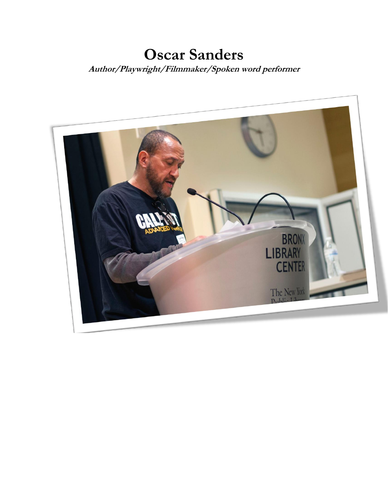# **Oscar Sanders Author/Playwright/Filmmaker/Spoken word performer**

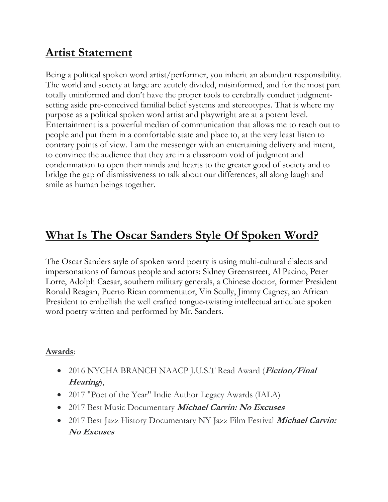# **Artist Statement**

Being a political spoken word artist/performer, you inherit an abundant responsibility. The world and society at large are acutely divided, misinformed, and for the most part totally uninformed and don't have the proper tools to cerebrally conduct judgmentsetting aside pre-conceived familial belief systems and stereotypes. That is where my purpose as a political spoken word artist and playwright are at a potent level. Entertainment is a powerful median of communication that allows me to reach out to people and put them in a comfortable state and place to, at the very least listen to contrary points of view. I am the messenger with an entertaining delivery and intent, to convince the audience that they are in a classroom void of judgment and condemnation to open their minds and hearts to the greater good of society and to bridge the gap of dismissiveness to talk about our differences, all along laugh and smile as human beings together.

# **What Is The Oscar Sanders Style Of Spoken Word?**

The Oscar Sanders style of spoken word poetry is using multi-cultural dialects and impersonations of famous people and actors: Sidney Greenstreet, Al Pacino, Peter Lorre, Adolph Caesar, southern military generals, a Chinese doctor, former President Ronald Reagan, Puerto Rican commentator, Vin Scully, Jimmy Cagney, an African President to embellish the well crafted tongue-twisting intellectual articulate spoken word poetry written and performed by Mr. Sanders.

## **Awards**:

- 2016 NYCHA BRANCH NAACP J.U.S.T Read Award (**Fiction/Final Hearing**),
- 2017 "Poet of the Year" Indie Author Legacy Awards (IALA)
- 2017 Best Music Documentary **Michael Carvin: No Excuses**
- 2017 Best Jazz History Documentary NY Jazz Film Festival **Michael Carvin: No Excuses**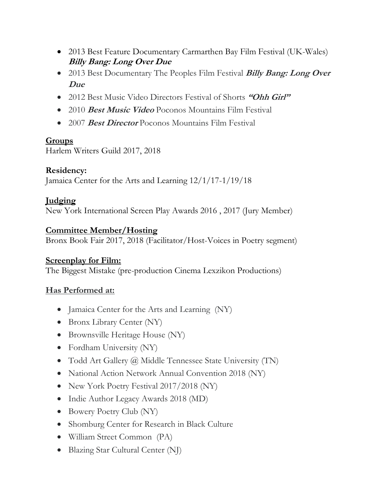- 2013 Best Feature Documentary Carmarthen Bay Film Festival (UK-Wales) **Billy Bang: Long Over Due**
- 2013 Best Documentary The Peoples Film Festival **Billy Bang: Long Over Due**
- 2012 Best Music Video Directors Festival of Shorts **"Ohh Girl"**
- 2010 **Best Music Video** Poconos Mountains Film Festival
- 2007 **Best Director** Poconos Mountains Film Festival

# **Groups**

Harlem Writers Guild 2017, 2018

# **Residency:**

Jamaica Center for the Arts and Learning 12/1/17-1/19/18

# **Judging**

New York International Screen Play Awards 2016 , 2017 (Jury Member)

## **Committee Member/Hosting**

Bronx Book Fair 2017, 2018 (Facilitator/Host-Voices in Poetry segment)

## **Screenplay for Film:**

The Biggest Mistake (pre-production Cinema Lexzikon Productions)

# **Has Performed at:**

- Jamaica Center for the Arts and Learning (NY)
- Bronx Library Center (NY)
- Brownsville Heritage House (NY)
- Fordham University (NY)
- Todd Art Gallery @ Middle Tennessee State University (TN)
- National Action Network Annual Convention 2018 (NY)
- New York Poetry Festival 2017/2018 (NY)
- Indie Author Legacy Awards 2018 (MD)
- Bowery Poetry Club (NY)
- Shomburg Center for Research in Black Culture
- William Street Common (PA)
- Blazing Star Cultural Center (NJ)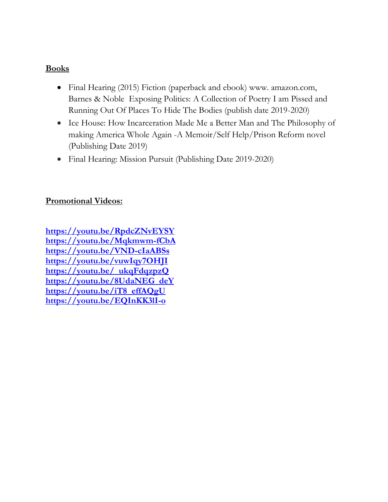#### **Books**

- Final Hearing (2015) Fiction (paperback and ebook) www. amazon.com, Barnes & Noble Exposing Politics: A Collection of Poetry I am Pissed and Running Out Of Places To Hide The Bodies (publish date 2019-2020)
- Ice House: How Incarceration Made Me a Better Man and The Philosophy of making America Whole Again -A Memoir/Self Help/Prison Reform novel (Publishing Date 2019)
- Final Hearing: Mission Pursuit (Publishing Date 2019-2020)

#### **Promotional Videos:**

**<https://youtu.be/RpdcZNvEYSY> <https://youtu.be/Mqkmwm-fCbA> <https://youtu.be/VND-cIaABSs> <https://youtu.be/vuwIqy7OHJI> [https://youtu.be/\\_ukqFdqzpzQ](https://youtu.be/_ukqFdqzpzQ) [https://youtu.be/8UdaNEG\\_deY](https://youtu.be/8UdaNEG_deY) [https://youtu.be/iT8\\_effAQgU](https://youtu.be/iT8_effAQgU) <https://youtu.be/EQInKK3lI-o>**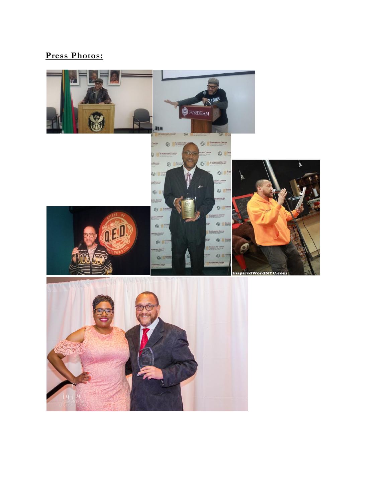# **Press Photos:**

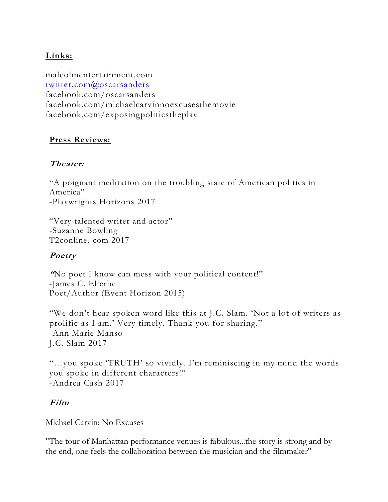### **Links:**

malcolmentertainment.com [twitter.com@oscarsanders](mailto:twitter.com@oscarsanders) facebook.com/oscarsanders facebook.com/michaelcarvinnoexcusesthemovie facebook.com/exposingpoliticstheplay

#### **Press Reviews:**

#### **Theater:**

"A poignant meditation on the troubling state of American politics in America" -Playwrights Horizons 2017

"Very talented writer and actor" -Suzanne Bowling T2conline. com 2017

## **Poetry**

**"**No poet I know can mess with your political content!" -James C. Ellerbe Poet/Author (Event Horizon 2015)

"We don't hear spoken word like this at J.C. Slam. 'Not a lot of writers as prolific as I am.' Very timely. Thank you for sharing." -Ann Marie Manso J.C. Slam 2017

"…you spoke 'TRUTH' so vividly. I'm reminiscing in my mind the words you spoke in different characters!" -Andrea Cash 2017

#### **Film**

Michael Carvin: No Excuses

"The tour of Manhattan performance venues is fabulous...the story is strong and by the end, one feels the collaboration between the musician and the filmmaker"